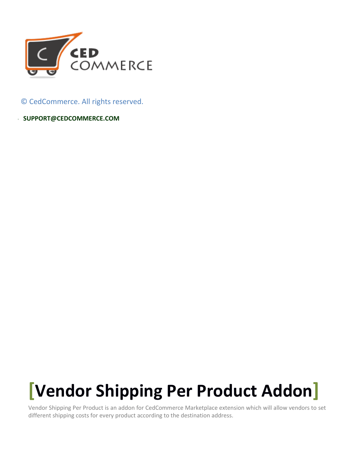

© CedCommerce. All rights reserved.

**S SUPPORT@CEDCOMMERCE.COM**

# **[Vendor Shipping Per Product Addon]**

Vendor Shipping Per Product is an addon for CedCommerce Marketplace extension which will allow vendors to set different shipping costs for every product according to the destination address.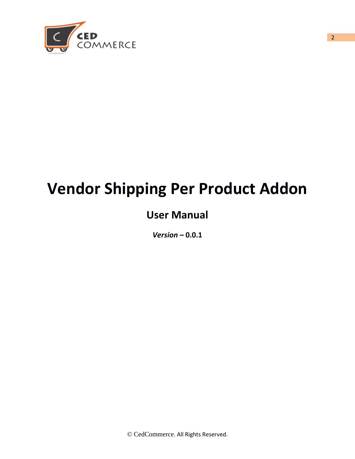

## **Vendor Shipping Per Product Addon**

## **User Manual**

*Version* **– 0.0.1**

2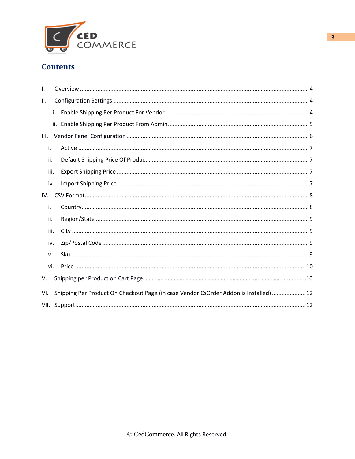

#### **Contents**

| ı.   |      |                                                                                       |
|------|------|---------------------------------------------------------------------------------------|
| Ш.   |      |                                                                                       |
|      | i.   |                                                                                       |
|      |      |                                                                                       |
| III. |      |                                                                                       |
| i.   |      |                                                                                       |
|      | ii.  |                                                                                       |
|      | iii. |                                                                                       |
|      | iv.  |                                                                                       |
| IV.  |      |                                                                                       |
| i.   |      |                                                                                       |
|      | ii.  |                                                                                       |
|      | iii. |                                                                                       |
|      | iv.  |                                                                                       |
|      | v.   |                                                                                       |
|      | vi.  |                                                                                       |
| V.   |      |                                                                                       |
| VI.  |      | Shipping Per Product On Checkout Page (in case Vendor CsOrder Addon is Installed)  12 |
|      |      |                                                                                       |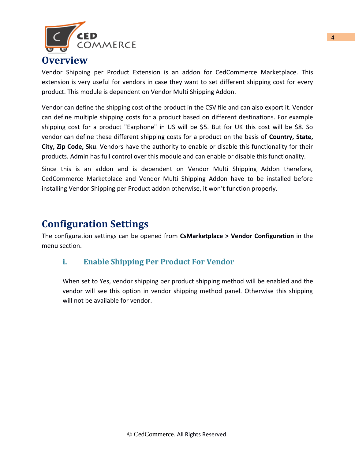

#### **Overview**

Vendor Shipping per Product Extension is an addon for CedCommerce Marketplace. This extension is very useful for vendors in case they want to set different shipping cost for every product. This module is dependent on Vendor Multi Shipping Addon.

Vendor can define the shipping cost of the product in the CSV file and can also export it. Vendor can define multiple shipping costs for a product based on different destinations. For example shipping cost for a product "Earphone" in US will be \$5. But for UK this cost will be \$8. So vendor can define these different shipping costs for a product on the basis of **Country, State, City, Zip Code, Sku**. Vendors have the authority to enable or disable this functionality for their products. Admin has full control over this module and can enable or disable this functionality.

Since this is an addon and is dependent on Vendor Multi Shipping Addon therefore, CedCommerce Marketplace and Vendor Multi Shipping Addon have to be installed before installing Vendor Shipping per Product addon otherwise, it won't function properly.

## <span id="page-3-0"></span>**Configuration Settings**

The configuration settings can be opened from **CsMarketplace > Vendor Configuration** in the menu section.

#### **i. Enable Shipping Per Product For Vendor**

When set to Yes, vendor shipping per product shipping method will be enabled and the vendor will see this option in vendor shipping method panel. Otherwise this shipping will not be available for vendor.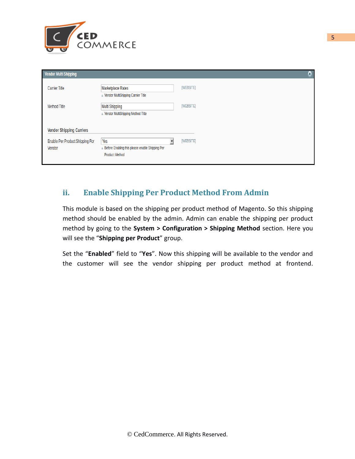

| <b>Vendor Multi Shipping</b>                                                 |                                                                                 | ٥         |
|------------------------------------------------------------------------------|---------------------------------------------------------------------------------|-----------|
| <b>Carrier Title</b>                                                         | Marketplace Rates<br>▲ Vendor MultiShipping Carrier Title                       | [WEBSITE] |
| <b>Method Title</b>                                                          | Multi Shipping<br>A Vendor MultiShipping Method Title                           | [WEBSITE] |
| <b>Vendor Shipping Carriers</b><br>Enable Per Product Shipping For<br>Vendor | Yes<br>Before Enabling this please enable Shipping Per<br><b>Product Method</b> | [WEBSITE] |

#### **ii. Enable Shipping Per Product Method From Admin**

This module is based on the shipping per product method of Magento. So this shipping method should be enabled by the admin. Admin can enable the shipping per product method by going to the **System > Configuration > Shipping Method** section. Here you will see the "**Shipping per Product**" group.

Set the "**Enabled**" field to "**Yes**". Now this shipping will be available to the vendor and the customer will see the vendor shipping per product method at frontend.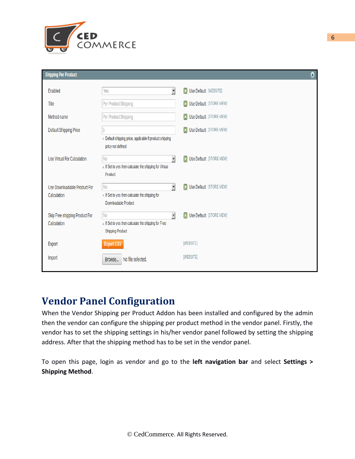

| <b>Shipping Per Product</b>                   |                                                                                                                           |                                                      | ٥ |
|-----------------------------------------------|---------------------------------------------------------------------------------------------------------------------------|------------------------------------------------------|---|
| Enabled                                       | √<br>Yes                                                                                                                  | $\boxed{1}$<br>Use Default [WEBSITE]                 |   |
| Title                                         | Per Product Shipping                                                                                                      | <b>ET Use Default</b> [STORE VIEW]                   |   |
| Method name                                   | Per Product Shipping                                                                                                      | <b>E3</b> Use Default [STORE VIEW]                   |   |
| <b>Default Shipping Price</b>                 | 5                                                                                                                         | <b>ET Use Default</b> [STORE VIEW]                   |   |
|                                               | A Default shipping price, applicable if product shipping<br>price not defined                                             |                                                      |   |
| Use Virtual For Calculation                   | √<br>No<br>A If Set to yes then calculate the shipping for Virtual<br>Product                                             | Use Default [STORE VIEW]<br>$\vert \mathbf{E} \vert$ |   |
| Use Downloadable Product For<br>Calculation   | $\mathbf{r}$<br>N <sub>0</sub><br>A If Set to yes then calculate the shipping for<br>Downloadable Product                 | <b>ET Use Default</b> [STORE VIEW]                   |   |
| Skip Free shipping Product For<br>Calculation | $\blacktriangledown$<br>N <sub>0</sub><br>A If Set to yes then calculate the shipping for Free<br><b>Shipping Product</b> | Use Default [STORE VIEW]<br>$\boxed{1}$              |   |
| Export                                        | <b>Export CSV</b>                                                                                                         | <b>IWEBSITEI</b>                                     |   |
| Import                                        | No file selected.<br>Browse                                                                                               | <b>IWEBSITE</b>                                      |   |

## **Vendor Panel Configuration**

When the Vendor Shipping per Product Addon has been installed and configured by the admin then the vendor can configure the shipping per product method in the vendor panel. Firstly, the vendor has to set the shipping settings in his/her vendor panel followed by setting the shipping address. After that the shipping method has to be set in the vendor panel.

To open this page, login as vendor and go to the **left navigation bar** and select **Settings > Shipping Method**.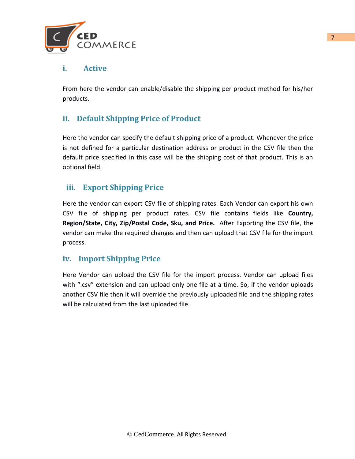

#### **i. Active**

From here the vendor can enable/disable the shipping per product method for his/her products.

#### **ii. Default Shipping Price of Product**

Here the vendor can specify the default shipping price of a product. Whenever the price is not defined for a particular destination address or product in the CSV file then the default price specified in this case will be the shipping cost of that product. This is an optional field.

#### **iii. Export Shipping Price**

Here the vendor can export CSV file of shipping rates. Each Vendor can export his own CSV file of shipping per product rates. CSV file contains fields like **Country, Region/State, City, Zip/Postal Code, Sku, and Price.** After Exporting the CSV file, the vendor can make the required changes and then can upload that CSV file for the import process.

#### **iv. Import Shipping Price**

Here Vendor can upload the CSV file for the import process. Vendor can upload files with ".csv" extension and can upload only one file at a time. So, if the vendor uploads another CSV file then it will override the previously uploaded file and the shipping rates will be calculated from the last uploaded file.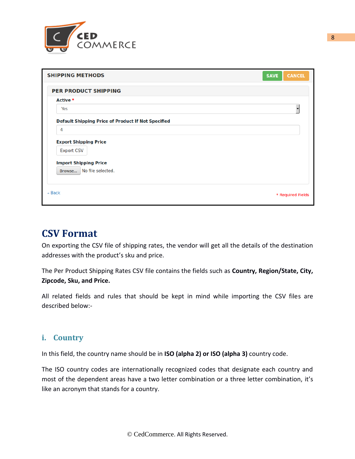

| <b>SHIPPING METHODS</b>                            | <b>SAVE</b><br><b>CANCEL</b> |
|----------------------------------------------------|------------------------------|
| <b>PER PRODUCT SHIPPING</b>                        |                              |
| Active *                                           |                              |
| Yes                                                |                              |
| Default Shipping Price of Product If Not Specified |                              |
| 4                                                  |                              |
| <b>Export Shipping Price</b>                       |                              |
| <b>Export CSV</b>                                  |                              |
| <b>Import Shipping Price</b>                       |                              |
| No file selected.<br>Browse                        |                              |
|                                                    |                              |

## **CSV Format**

On exporting the CSV file of shipping rates, the vendor will get all the details of the destination addresses with the product's sku and price.

The Per Product Shipping Rates CSV file contains the fields such as **Country, Region/State, City, Zipcode, Sku, and Price.** 

All related fields and rules that should be kept in mind while importing the CSV files are described below:-

#### **i. Country**

In this field, the country name should be in **ISO (alpha 2) or ISO (alpha 3)** country code.

The ISO country codes are internationally recognized codes that designate each country and most of the dependent areas have a two letter combination or a three letter combination, it's like an acronym that stands for a country.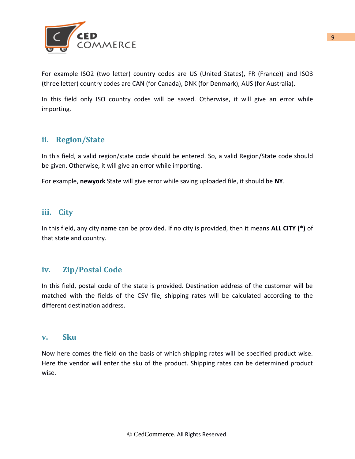

For example ISO2 (two letter) country codes are US (United States), FR (France)) and ISO3 (three letter) country codes are CAN (for Canada), DNK (for Denmark), AUS (for Australia).

In this field only ISO country codes will be saved. Otherwise, it will give an error while importing.

#### **ii. Region/State**

In this field, a valid region/state code should be entered. So, a valid Region/State code should be given. Otherwise, it will give an error while importing.

For example, **newyork** State will give error while saving uploaded file, it should be **NY**.

#### **iii. City**

In this field, any city name can be provided. If no city is provided, then it means **ALL CITY (\*)** of that state and country.

#### **iv. Zip/Postal Code**

In this field, postal code of the state is provided. Destination address of the customer will be matched with the fields of the CSV file, shipping rates will be calculated according to the different destination address.

#### **v. Sku**

Now here comes the field on the basis of which shipping rates will be specified product wise. Here the vendor will enter the sku of the product. Shipping rates can be determined product wise.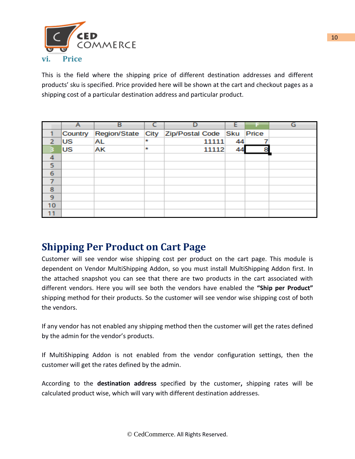

This is the field where the shipping price of different destination addresses and different products' sku is specified. Price provided here will be shown at the cart and checkout pages as a shipping cost of a particular destination address and particular product.

|                |           | в                   |         |                                |    | G |
|----------------|-----------|---------------------|---------|--------------------------------|----|---|
|                | Country   | <b>Region/State</b> |         | City Zip/Postal Code Sku Price |    |   |
|                | <b>US</b> | <b>AL</b>           | $\star$ | 11111                          | 44 |   |
|                | lus       | AK                  | ŵ       | 11112                          |    |   |
| 4              |           |                     |         |                                |    |   |
| 5              |           |                     |         |                                |    |   |
| 6              |           |                     |         |                                |    |   |
|                |           |                     |         |                                |    |   |
| 8              |           |                     |         |                                |    |   |
| $\overline{9}$ |           |                     |         |                                |    |   |
| 10             |           |                     |         |                                |    |   |
|                |           |                     |         |                                |    |   |

## **Shipping Per Product on Cart Page**

Customer will see vendor wise shipping cost per product on the cart page. This module is dependent on Vendor MultiShipping Addon, so you must install MultiShipping Addon first. In the attached snapshot you can see that there are two products in the cart associated with different vendors. Here you will see both the vendors have enabled the **"Ship per Product"** shipping method for their products. So the customer will see vendor wise shipping cost of both the vendors.

If any vendor has not enabled any shipping method then the customer will get the rates defined by the admin for the vendor's products.

If MultiShipping Addon is not enabled from the vendor configuration settings, then the customer will get the rates defined by the admin.

According to the **destination address** specified by the customer**,** shipping rates will be calculated product wise, which will vary with different destination addresses.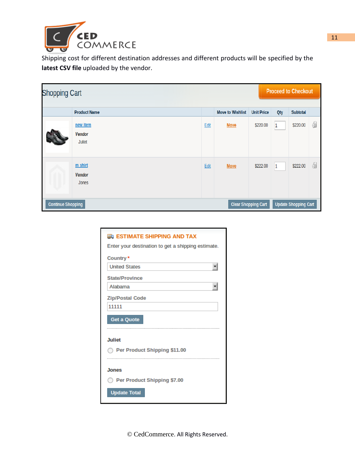

Shipping cost for different destination addresses and different products will be specified by the **latest CSV file** uploaded by the vendor.

| <b>Shopping Cart</b>     |                                     |      |                         |                            |     | <b>Proceed to Checkout</b>  |    |  |  |
|--------------------------|-------------------------------------|------|-------------------------|----------------------------|-----|-----------------------------|----|--|--|
|                          | <b>Product Name</b>                 |      | <b>Move to Wishlist</b> | <b>Unit Price</b>          | Qty | <b>Subtotal</b>             |    |  |  |
|                          | new item<br><b>Vendor</b><br>Juliet | Edit | <b>Move</b>             | \$220.00                   | 1   | \$220.00                    | 61 |  |  |
|                          | m shirt<br><b>Vendor</b><br>Jones   | Edit | <b>Move</b>             | \$222.00                   | 1   | \$222.00                    | 61 |  |  |
| <b>Continue Shopping</b> |                                     |      |                         | <b>Clear Shopping Cart</b> |     | <b>Update Shopping Cart</b> |    |  |  |

| <b>ED ESTIMATE SHIPPING AND TAX</b>                |
|----------------------------------------------------|
| Enter your destination to get a shipping estimate. |
| Country*                                           |
| <b>United States</b>                               |
| <b>State/Province</b>                              |
| Alabama                                            |
| <b>Zip/Postal Code</b>                             |
| 11111                                              |
| Get a Quote                                        |
| <b>Juliet</b>                                      |
| Per Product Shipping \$11.00                       |
| <b>Jones</b>                                       |
| Per Product Shipping \$7.00                        |
| <b>Update Total</b>                                |

© CedCommerce. All Rights Reserved.